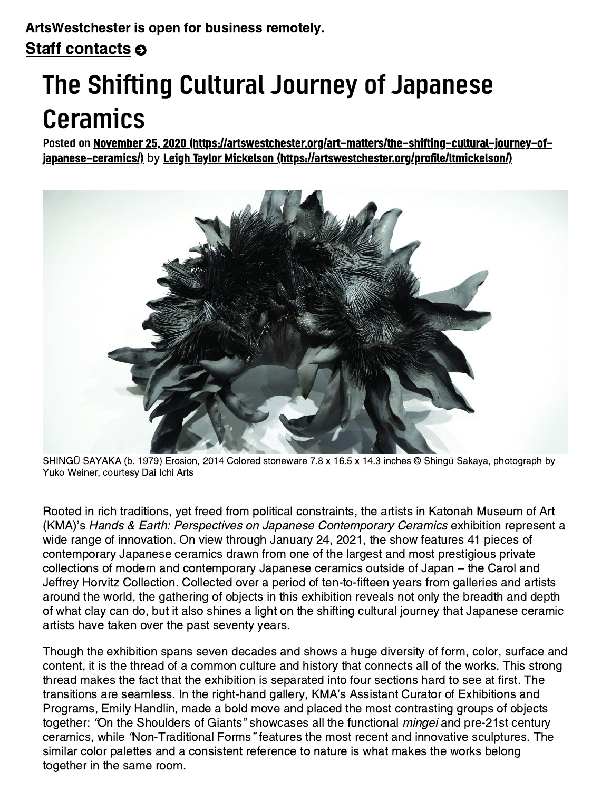## The Shifting Cultural Journey of Japanese Ceramics

Posted on November 25, 2020 [\(https://artswestchester.org/art-matters/the-shifting-cultural-journey-of-](https://artswestchester.org/art-matters/the-shifting-cultural-journey-of-japanese-ceramics/)japanese-ceramics/) by Leigh Taylor Mickelson [\(https://artswestchester.org/profile/ltmickelson/\)](https://artswestchester.org/profile/ltmickelson/)



SHINGŪ SAYAKA (b. 1979) Erosion, 2014 Colored stoneware 7.8 x 16.5 x 14.3 inches © Shingū Sakaya, photograph by Yuko Weiner, courtesy Dai Ichi Arts

Rooted in rich traditions, yet freed from political constraints, the artists in Katonah Museum of Art (KMA)'s Hands & Earth: Perspectives on Japanese Contemporary Ceramics exhibition represent a wide range of innovation. On view through January 24, 2021, the show features 41 pieces of contemporary Japanese ceramics drawn from one of the largest and most prestigious private collections of modern and contemporary Japanese ceramics outside of Japan – the Carol and Jeffrey Horvitz Collection. Collected over a period of ten-to-fifteen years from galleries and artists around the world, the gathering of objects in this exhibition reveals not only the breadth and depth of what clay can do, but it also shines a light on the shifting cultural journey that Japanese ceramic artists have taken over the past seventy years.

Though the exhibition spans seven decades and shows a huge diversity of form, color, surface and content, it is the thread of a common culture and history that connects all of the works. This strong thread makes the fact that the exhibition is separated into four sections hard to see at first. The transitions are seamless. In the right-hand gallery, KMA's Assistant Curator of Exhibitions and Programs, Emily Handlin, made a bold move and placed the most contrasting groups of objects together: "On the Shoulders of Giants" showcases all the functional *mingei* and pre-21st century ceramics, while "Non-Traditional Forms" features the most recent and innovative sculptures. The similar color palettes and a consistent reference to nature is what makes the works belong together in the same room.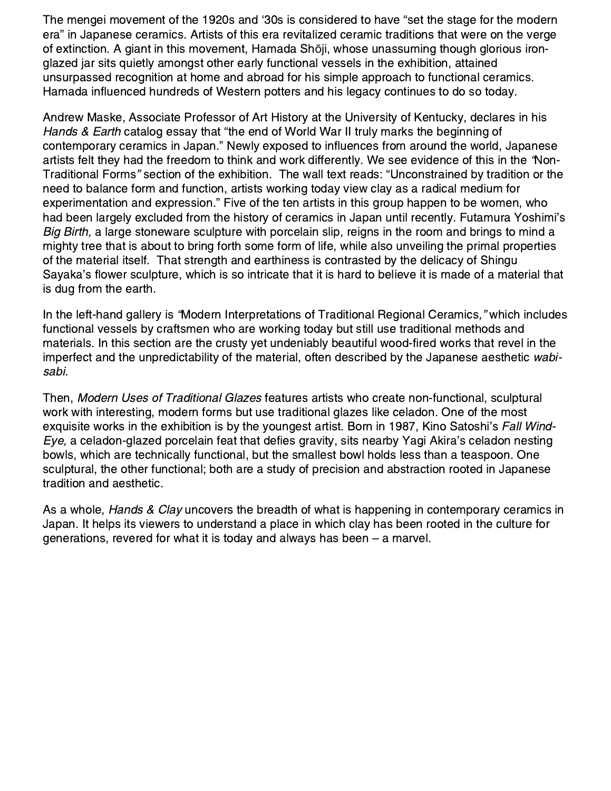The mengei movement of the 1920s and '30s is considered to have "set the stage for the modern era" in Japanese ceramics. Artists of this era revitalized ceramic traditions that were on the verge of extinction. A giant in this movement, Hamada Shōji, whose unassuming though glorious ironglazed jar sits quietly amongst other early functional vessels in the exhibition, attained unsurpassed recognition at home and abroad for his simple approach to functional ceramics. Hamada influenced hundreds of Western potters and his legacy continues to do so today.

Andrew Maske, Associate Professor of Art History at the University of Kentucky, declares in his Hands & Earth catalog essay that "the end of World War II truly marks the beginning of contemporary ceramics in Japan." Newly exposed to influences from around the world, Japanese artists felt they had the freedom to think and work differently. We see evidence of this in the "Non-Traditional Forms" section of the exhibition. The wall text reads: "Unconstrained by tradition or the need to balance form and function, artists working today view clay as a radical medium for experimentation and expression." Five of the ten artists in this group happen to be women, who had been largely excluded from the history of ceramics in Japan until recently. Futamura Yoshimi's Big Birth, a large stoneware sculpture with porcelain slip, reigns in the room and brings to mind a mighty tree that is about to bring forth some form of life, while also unveiling the primal properties of the material itself. That strength and earthiness is contrasted by the delicacy of Shingu Sayaka's flower sculpture, which is so intricate that it is hard to believe it is made of a material that is dug from the earth.

In the left-hand gallery is "Modern Interpretations of Traditional Regional Ceramics," which includes functional vessels by craftsmen who are working today but still use traditional methods and materials. In this section are the crusty yet undeniably beautiful wood-fired works that revel in the imperfect and the unpredictability of the material, often described by the Japanese aesthetic wabisabi.

Then, Modern Uses of Traditional Glazes features artists who create non-functional, sculptural work with interesting, modern forms but use traditional glazes like celadon. One of the most exquisite works in the exhibition is by the youngest artist. Born in 1987, Kino Satoshi's Fall Wind-Eye, a celadon-glazed porcelain feat that defies gravity, sits nearby Yagi Akira's celadon nesting bowls, which are technically functional, but the smallest bowl holds less than a teaspoon. One sculptural, the other functional; both are a study of precision and abstraction rooted in Japanese tradition and aesthetic.

As a whole, Hands & Clay uncovers the breadth of what is happening in contemporary ceramics in Japan. It helps its viewers to understand a place in which clay has been rooted in the culture for generations, revered for what it is today and always has been – a marvel.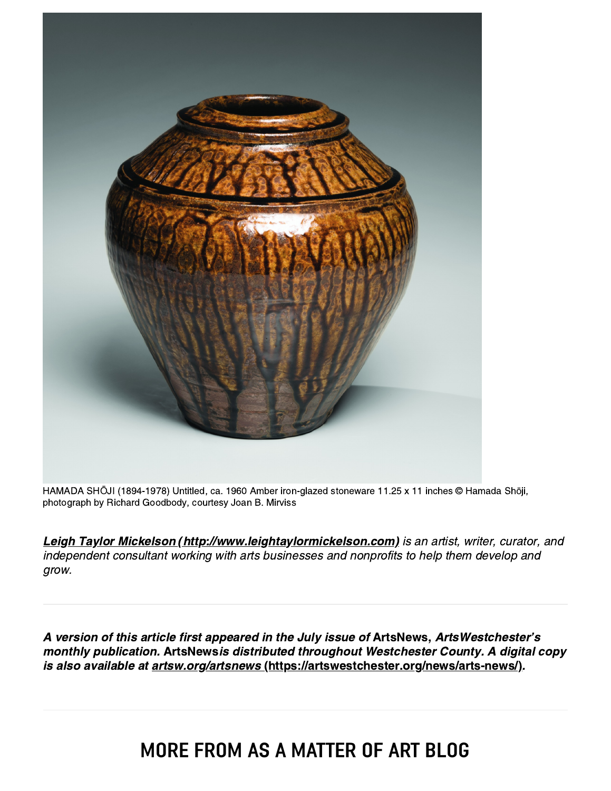

HAMADA SHŌJI (1894-1978) Untitled, ca. 1960 Amber iron-glazed stoneware 11.25 x 11 inches © Hamada Shōji, photograph by Richard Goodbody, courtesy Joan B. Mirviss

[Leigh Taylor Mickelson \(http://www.leightaylormickelson.com\)](http://www.leightaylormickelson.com/) is an artist, writer, curator, and independent consultant working with arts businesses and nonprofits to help them develop and grow.

A version of this article first appeared in the July issue of ArtsNews, ArtsWestchester's monthly publication. ArtsNewsis distributed throughout Westchester County. A digital copy is also available at [artsw.org/artsnews \(https://artswestchester.org/news/arts-news/\)](https://artswestchester.org/news/arts-news/).

## MORE FROM AS A MATTER OF ART BLOG